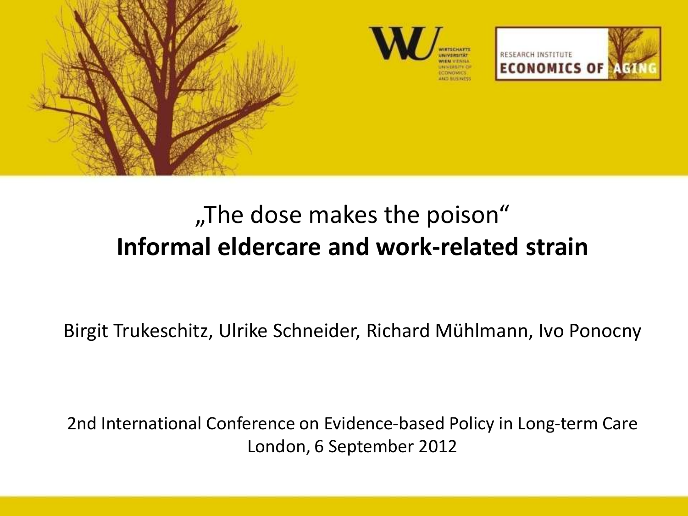

# "The dose makes the poison" **Informal eldercare and work-related strain**

Birgit Trukeschitz, Ulrike Schneider, Richard Mühlmann, Ivo Ponocny

2nd International Conference on Evidence-based Policy in Long-term Care London, 6 September 2012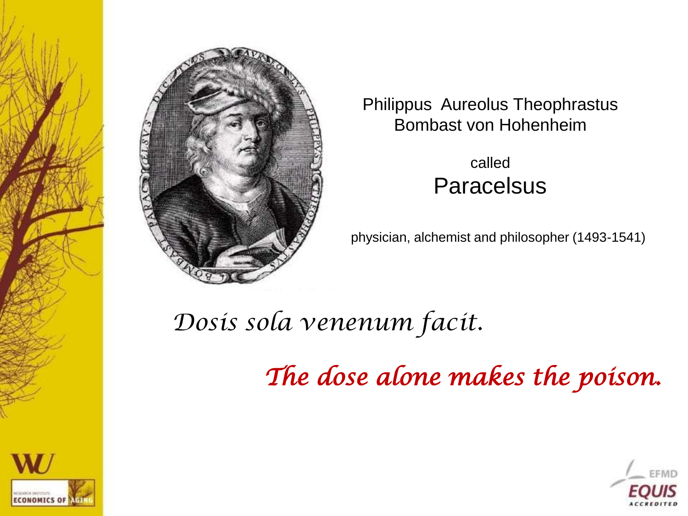

Philippus Aureolus Theophrastus Bombast von Hohenheim

> called **Paracelsus**

physician, alchemist and philosopher (1493-1541)

*Dosis sola venenum facit.*

*The dose alone makes the poison.* 



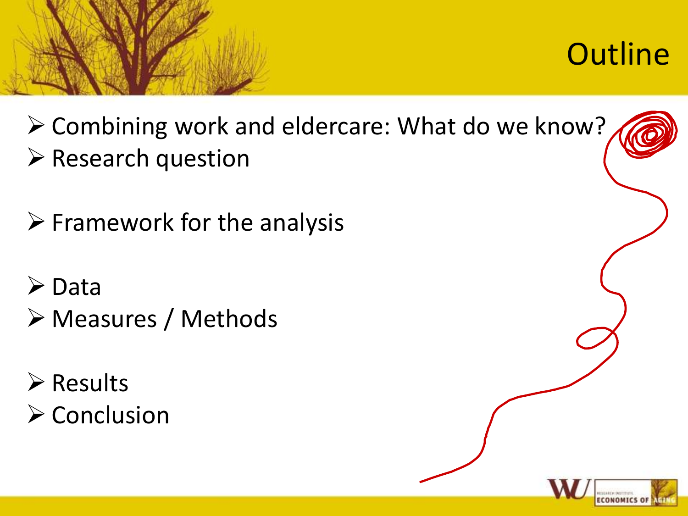

**Outline** 

 Combining work and eldercare: What do we know?  $\triangleright$  Research question

 $\triangleright$  Framework for the analysis

 $\triangleright$  Data Measures / Methods

 $\triangleright$  Results  $\triangleright$  Conclusion

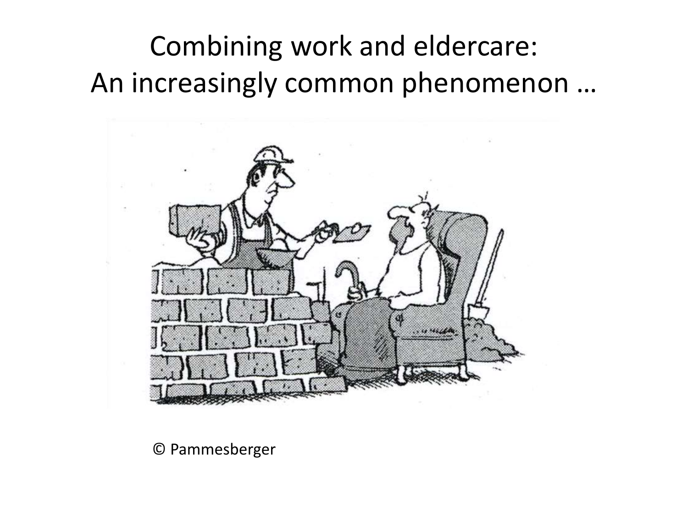# Combining work and eldercare: An increasingly common phenomenon …



© Pammesberger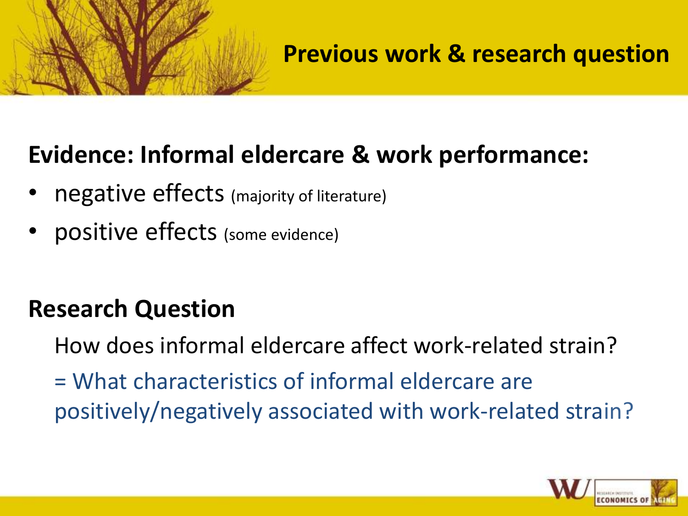## **Previous work & research question**

# **Evidence: Informal eldercare & work performance:**

- negative effects (majority of literature)
- positive effects (some evidence)

# **Research Question**

How does informal eldercare affect work-related strain?

= What characteristics of informal eldercare are positively/negatively associated with work-related strain?

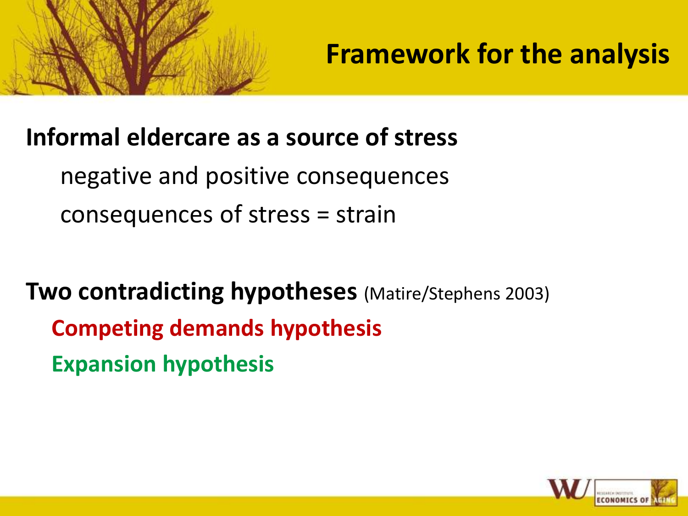

**Framework for the analysis**

## **Informal eldercare as a source of stress**

negative and positive consequences consequences of stress = strain

**Two contradicting hypotheses** (Matire/Stephens 2003) **Competing demands hypothesis Expansion hypothesis**

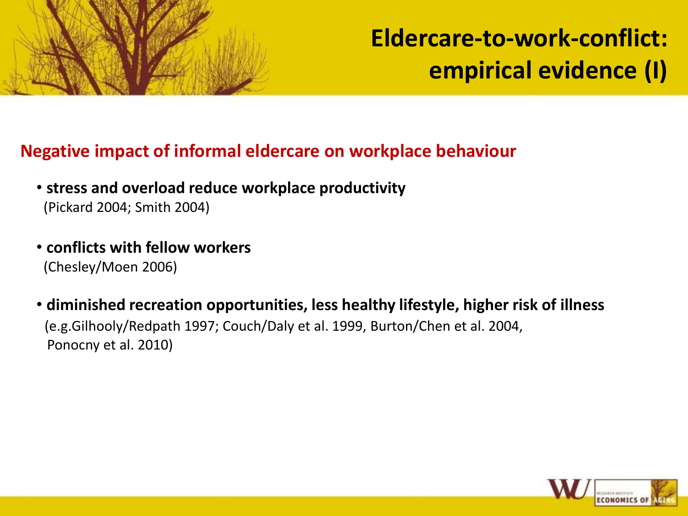

**Eldercare-to-work-conflict: empirical evidence (I)**

#### **Negative impact of informal eldercare on workplace behaviour**

- **stress and overload reduce workplace productivity** (Pickard 2004; Smith 2004)
- **conflicts with fellow workers** (Chesley/Moen 2006)
- **diminished recreation opportunities, less healthy lifestyle, higher risk of illness** (e.g.Gilhooly/Redpath 1997; Couch/Daly et al. 1999, Burton/Chen et al. 2004, Ponocny et al. 2010)

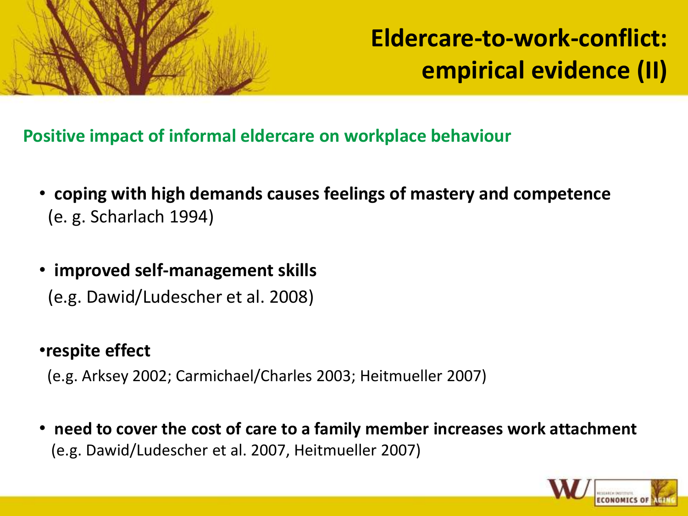

**Eldercare-to-work-conflict: empirical evidence (II)**

**Positive impact of informal eldercare on workplace behaviour**

- **coping with high demands causes feelings of mastery and competence**  (e. g. Scharlach 1994)
- • **improved self-management skills** (e.g. Dawid/Ludescher et al. 2008)

#### •**respite effect**

(e.g. Arksey 2002; Carmichael/Charles 2003; Heitmueller 2007)

• **need to cover the cost of care to a family member increases work attachment** (e.g. Dawid/Ludescher et al. 2007, Heitmueller 2007)

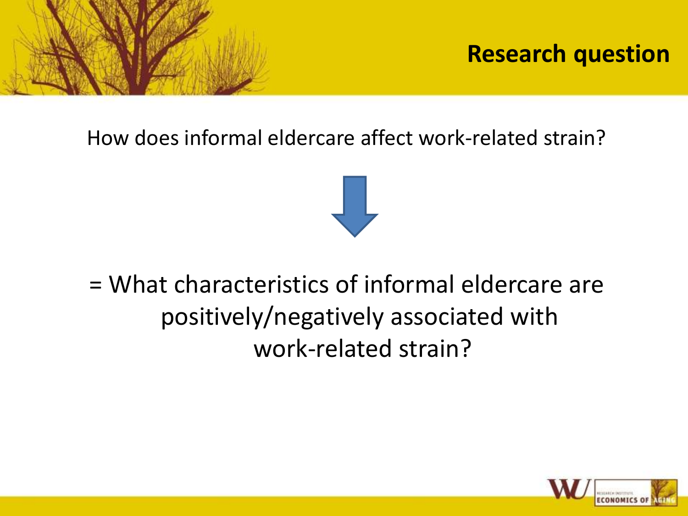

## **Research question**

How does informal eldercare affect work-related strain?



# = What characteristics of informal eldercare are positively/negatively associated with work-related strain?

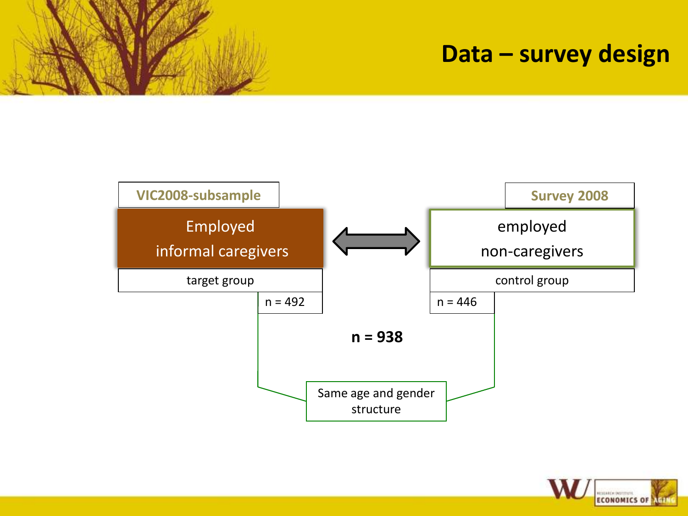## **Data – survey design**



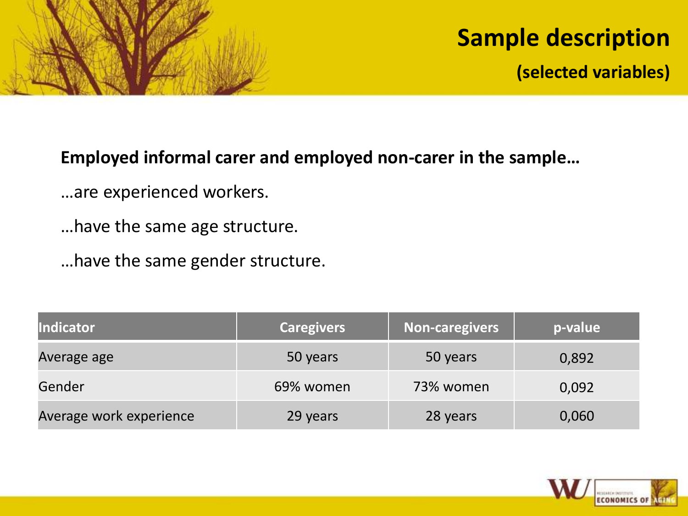

# **Sample description**

**(selected variables)**

#### **Employed informal carer and employed non-carer in the sample…**

- …are experienced workers.
- …have the same age structure.
- …have the same gender structure.

| <b>Indicator</b>        | <b>Caregivers</b> | <b>Non-caregivers</b> | p-value |
|-------------------------|-------------------|-----------------------|---------|
| Average age             | 50 years          | 50 years              | 0,892   |
| Gender                  | 69% women         | 73% women             | 0,092   |
| Average work experience | 29 years          | 28 years              | 0,060   |

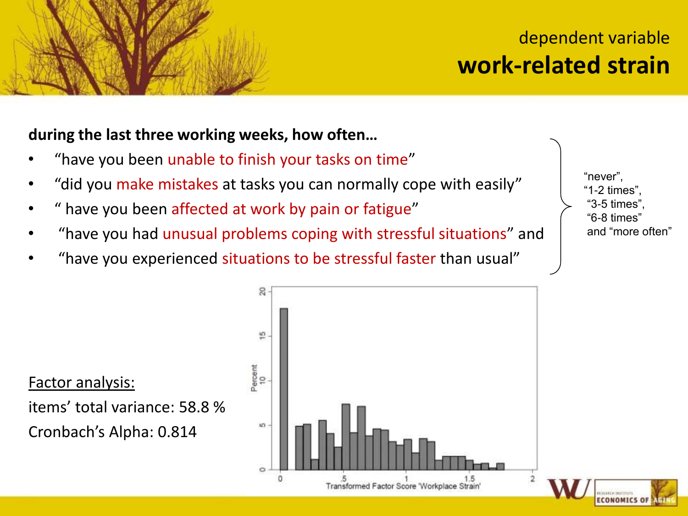## dependent variable **work-related strain**

#### **during the last three working weeks, how often…**

- "have you been unable to finish your tasks on time"
- "did you make mistakes at tasks you can normally cope with easily"
- " have you been affected at work by pain or fatigue"
- "have you had unusual problems coping with stressful situations" and
- "have you experienced situations to be stressful faster than usual"

"never", "1-2 times", "3-5 times", "6-8 times" and "more often"

**ECONOMICS OF** 

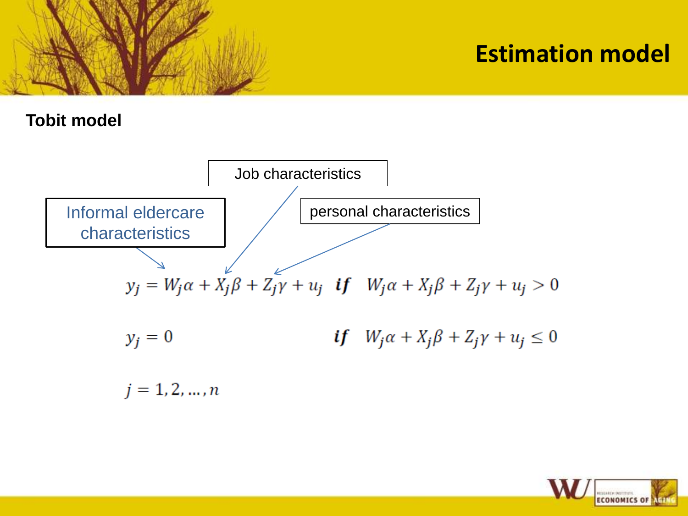

## **Estimation model**

#### **Tobit model**



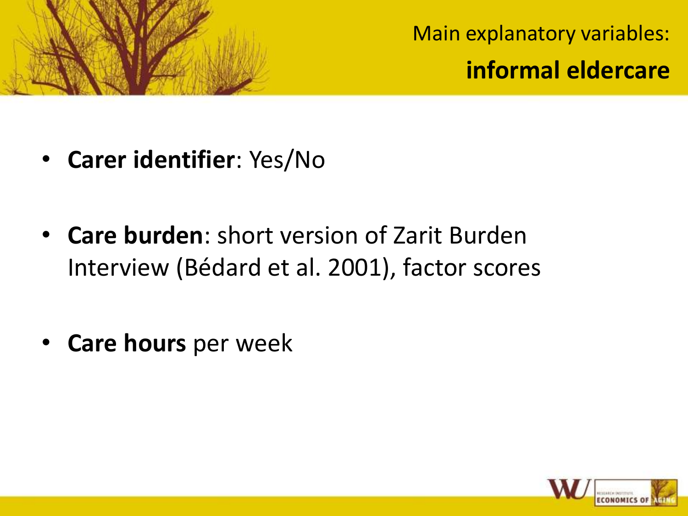

Main explanatory variables: **informal eldercare**

- **Carer identifier**: Yes/No
- **Care burden**: short version of Zarit Burden Interview (Bédard et al. 2001), factor scores
- **Care hours** per week

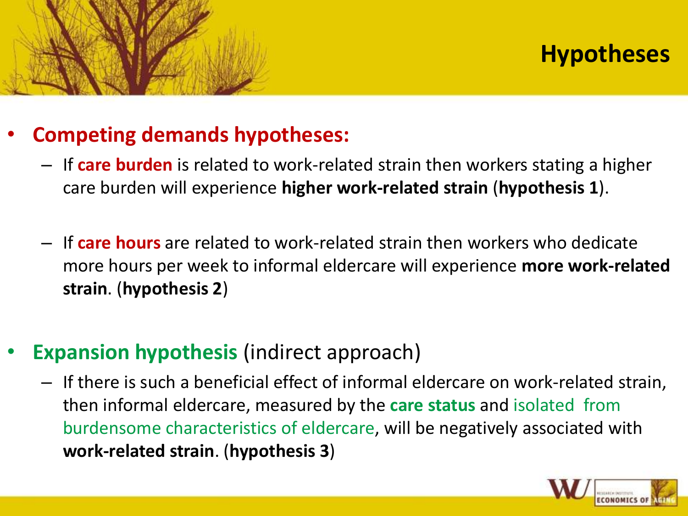# **Hypotheses**

## • **Competing demands hypotheses:**

- If **care burden** is related to work-related strain then workers stating a higher care burden will experience **higher work-related strain** (**hypothesis 1**).
- If **care hours** are related to work-related strain then workers who dedicate more hours per week to informal eldercare will experience **more work-related strain**. (**hypothesis 2**)
- **Expansion hypothesis** (indirect approach)
	- If there is such a beneficial effect of informal eldercare on work-related strain, then informal eldercare, measured by the **care status** and isolated from burdensome characteristics of eldercare, will be negatively associated with **work-related strain**. (**hypothesis 3**)

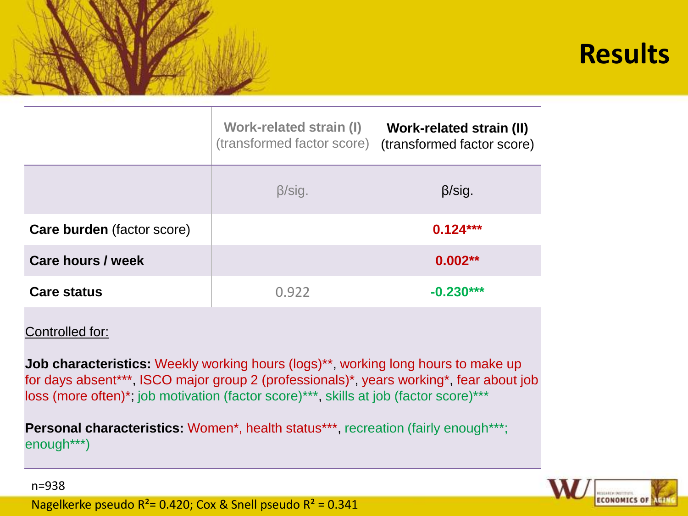# **Results**

|                                   | Work-related strain (I)<br>(transformed factor score) | <b>Work-related strain (II)</b><br>(transformed factor score) |
|-----------------------------------|-------------------------------------------------------|---------------------------------------------------------------|
|                                   | $\beta$ /sig.                                         | $\beta$ /sig.                                                 |
| <b>Care burden</b> (factor score) |                                                       | $0.124***$                                                    |
| <b>Care hours / week</b>          |                                                       | $0.002**$                                                     |
| <b>Care status</b>                | 0.922                                                 | $-0.230***$                                                   |

#### Controlled for:

n=938

**Job characteristics:** Weekly working hours (logs)<sup>\*\*</sup>, working long hours to make up for days absent\*\*\*, ISCO major group 2 (professionals)\*, years working\*, fear about job loss (more often)\*; job motivation (factor score)\*\*\*, skills at job (factor score)\*\*\*

**Personal characteristics:** Women\*, health status\*\*\*, recreation (fairly enough\*\*\*; enough\*\*\*)



Nagelkerke pseudo  $R^2$ = 0.420; Cox & Snell pseudo  $R^2$  = 0.341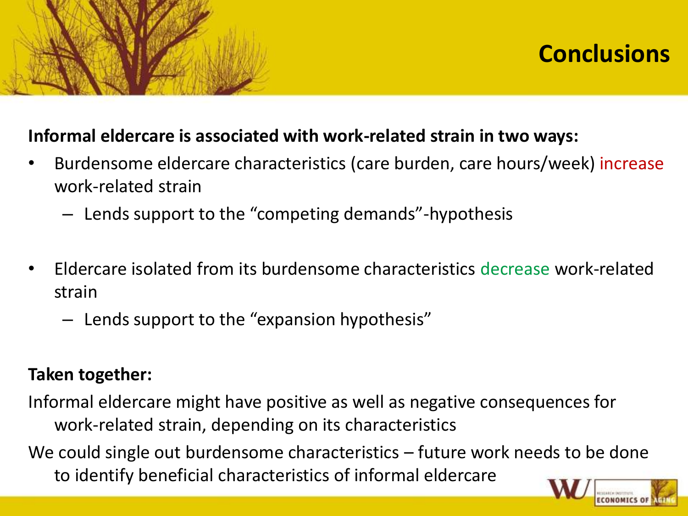

# **Conclusions**

#### **Informal eldercare is associated with work-related strain in two ways:**

- Burdensome eldercare characteristics (care burden, care hours/week) increase work-related strain
	- Lends support to the "competing demands"-hypothesis
- Eldercare isolated from its burdensome characteristics decrease work-related strain
	- Lends support to the "expansion hypothesis"

### **Taken together:**

Informal eldercare might have positive as well as negative consequences for work-related strain, depending on its characteristics

We could single out burdensome characteristics – future work needs to be done to identify beneficial characteristics of informal eldercare